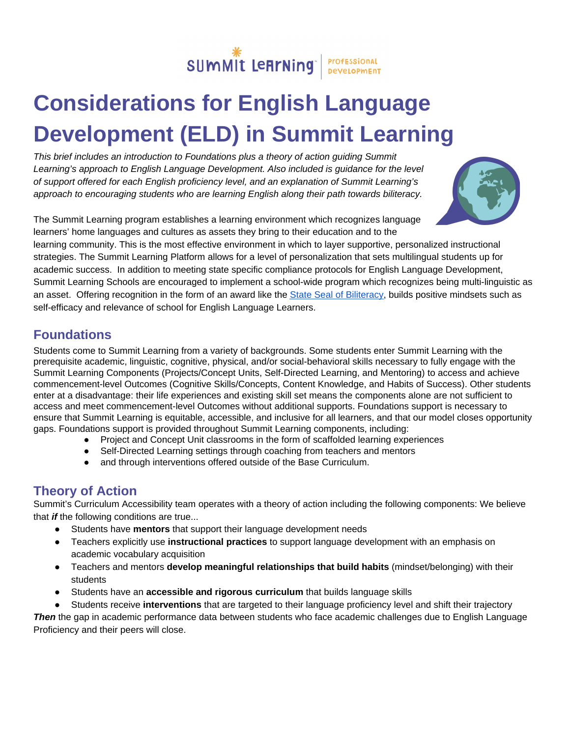

# **Considerations for English Language Development (ELD) in Summit Learning**

*This brief includes an introduction to Foundations plus a theory of action guiding Summit Learning's approach to English Language Development. Also included is guidance for the level of support offered for each English proficiency level, and an explanation of Summit Learning's approach to encouraging students who are learning English along their path towards biliteracy.*



The Summit Learning program establishes a learning environment which recognizes language learners' home languages and cultures as assets they bring to their education and to the

learning community. This is the most effective environment in which to layer supportive, personalized instructional strategies. The Summit Learning Platform allows for a level of personalization that sets multilingual students up for academic success. In addition to meeting state specific compliance protocols for English Language Development, Summit Learning Schools are encouraged to implement a school-wide program which recognizes being multi-linguistic as an asset. Offering recognition in the form of an award like the State Seal of [Biliteracy](https://sealofbiliteracy.org/), builds positive mindsets such as self-efficacy and relevance of school for English Language Learners.

### **Foundations**

Students come to Summit Learning from a variety of backgrounds. Some students enter Summit Learning with the prerequisite academic, linguistic, cognitive, physical, and/or social-behavioral skills necessary to fully engage with the Summit Learning Components (Projects/Concept Units, Self-Directed Learning, and Mentoring) to access and achieve commencement-level Outcomes (Cognitive Skills/Concepts, Content Knowledge, and Habits of Success). Other students enter at a disadvantage: their life experiences and existing skill set means the components alone are not sufficient to access and meet commencement-level Outcomes without additional supports. Foundations support is necessary to ensure that Summit Learning is equitable, accessible, and inclusive for all learners, and that our model closes opportunity gaps. Foundations support is provided throughout Summit Learning components, including:

- Project and Concept Unit classrooms in the form of scaffolded learning experiences
- Self-Directed Learning settings through coaching from teachers and mentors
- and through interventions offered outside of the Base Curriculum.

#### **Theory of Action**

Summit's Curriculum Accessibility team operates with a theory of action including the following components: We believe that *if* the following conditions are true...

- Students have **mentors** that support their language development needs
- Teachers explicitly use **instructional practices** to support language development with an emphasis on academic vocabulary acquisition
- Teachers and mentors **develop meaningful relationships that build habits** (mindset/belonging) with their students
- Students have an **accessible and rigorous curriculum** that builds language skills
- Students receive **interventions** that are targeted to their language proficiency level and shift their trajectory

*Then* the gap in academic performance data between students who face academic challenges due to English Language Proficiency and their peers will close.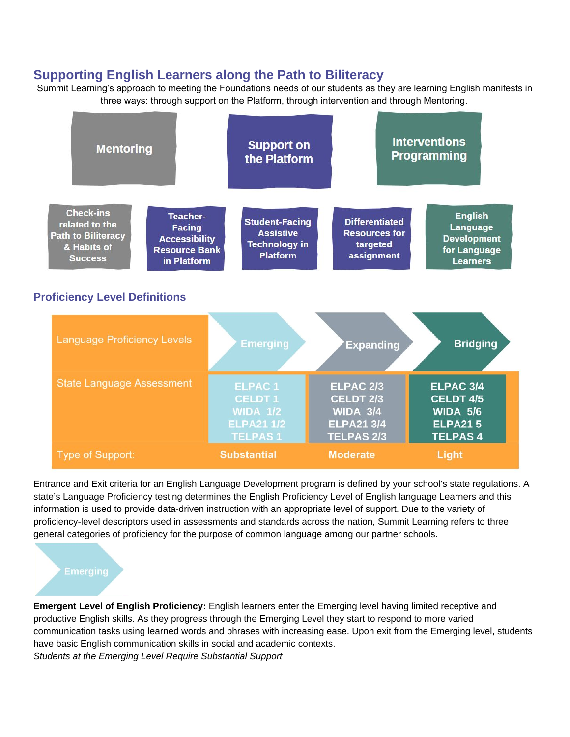#### **Supporting English Learners along the Path to Biliteracy**

Summit Learning's approach to meeting the Foundations needs of our students as they are learning English manifests in three ways: through support on the Platform, through intervention and through Mentoring.



Entrance and Exit criteria for an English Language Development program is defined by your school's state regulations. A state's Language Proficiency testing determines the English Proficiency Level of English language Learners and this information is used to provide data-driven instruction with an appropriate level of support. Due to the variety of proficiency-level descriptors used in assessments and standards across the nation, Summit Learning refers to three general categories of proficiency for the purpose of common language among our partner schools.

**Emergent Level of English Proficiency:** English learners enter the Emerging level having limited receptive and productive English skills. As they progress through the Emerging Level they start to respond to more varied communication tasks using learned words and phrases with increasing ease. Upon exit from the Emerging level, students have basic English communication skills in social and academic contexts. *Students at the Emerging Level Require Substantial Support*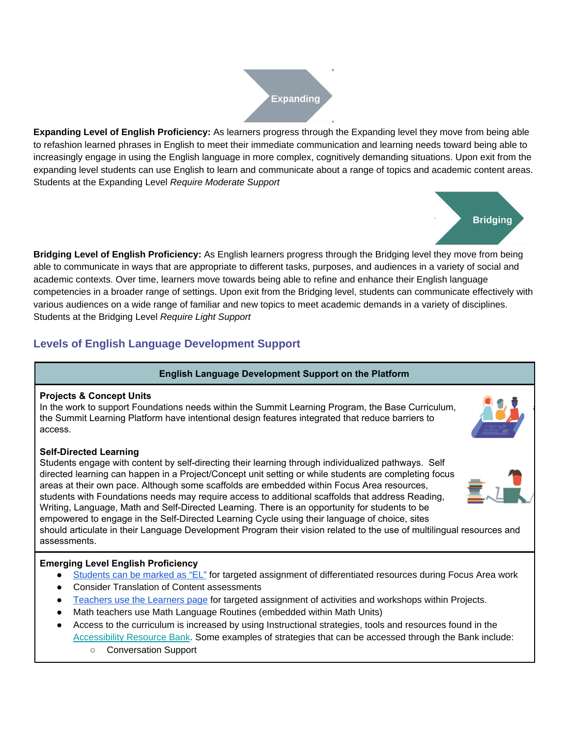

**Expanding Level of English Proficiency:** As learners progress through the Expanding level they move from being able to refashion learned phrases in English to meet their immediate communication and learning needs toward being able to increasingly engage in using the English language in more complex, cognitively demanding situations. Upon exit from the expanding level students can use English to learn and communicate about a range of topics and academic content areas. Students at the Expanding Level *Require Moderate Support*



**Bridging Level of English Proficiency:** As English learners progress through the Bridging level they move from being able to communicate in ways that are appropriate to different tasks, purposes, and audiences in a variety of social and academic contexts. Over time, learners move towards being able to refine and enhance their English language competencies in a broader range of settings. Upon exit from the Bridging level, students can communicate effectively with various audiences on a wide range of familiar and new topics to meet academic demands in a variety of disciplines. Students at the Bridging Level *Require Light Support*

### **Levels of English Language Development Support**

#### **English Language Development Support on the Platform**

#### **Projects & Concept Units**

In the work to support Foundations needs within the Summit Learning Program, the Base Curriculum, the Summit Learning Platform have intentional design features integrated that reduce barriers to access.

#### **Self-Directed Learning**

Students engage with content by self-directing their learning through individualized pathways. Self directed learning can happen in a Project/Concept unit setting or while students are completing focus areas at their own pace. Although some scaffolds are embedded within Focus Area resources, students with Foundations needs may require access to additional scaffolds that address Reading, Writing, Language, Math and Self-Directed Learning. There is an opportunity for students to be empowered to engage in the Self-Directed Learning Cycle using their language of choice, sites should articulate in their Language Development Program their vision related to the use of multilingual resources and assessments.

#### **Emerging Level English Proficiency**

- [Students](https://help.summitlearning.org/hc/en-us/articles/226492508-Where-can-I-mark-students-as-English-Learners-ELs-) can be marked as "EL" for targeted assignment of differentiated resources during Focus Area work
- Consider Translation of Content assessments
- [Teachers](https://help.summitlearning.org/hc/en-us/articles/360001426828-How-do-I-use-the-Learners-tab-to-personalize-Project-assignments-) use the Learners page for targeted assignment of activities and workshops within Projects.
- Math teachers use Math Language Routines (embedded within Math Units)
- Access to the curriculum is increased by using Instructional strategies, tools and resources found in the [Accessibility](https://www.summitlearning.org/resources/accessibility-resource-bank) Resource Bank. Some examples of strategies that can be accessed through the Bank include:
	- Conversation Support



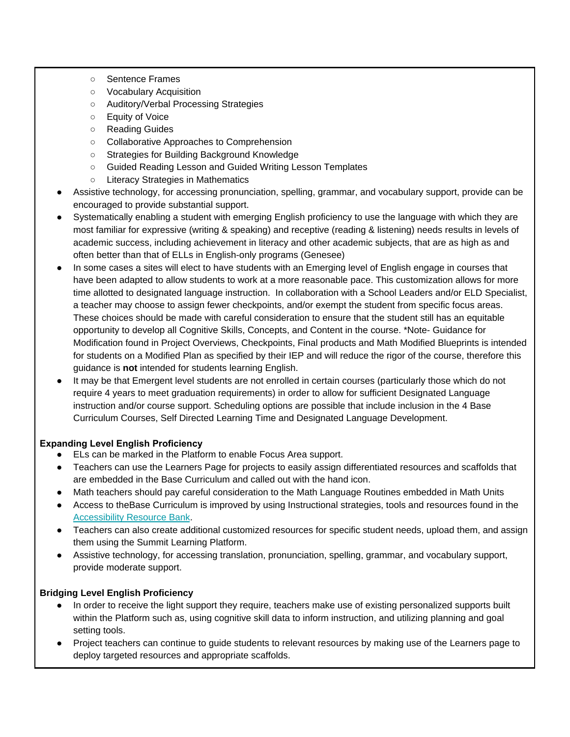- Sentence Frames
- Vocabulary Acquisition
- Auditory/Verbal Processing Strategies
- Equity of Voice
- Reading Guides
- Collaborative Approaches to Comprehension
- Strategies for Building Background Knowledge
- Guided Reading Lesson and Guided Writing Lesson Templates
- Literacy Strategies in Mathematics
- Assistive technology, for accessing pronunciation, spelling, grammar, and vocabulary support, provide can be encouraged to provide substantial support.
- Systematically enabling a student with emerging English proficiency to use the language with which they are most familiar for expressive (writing & speaking) and receptive (reading & listening) needs results in levels of academic success, including achievement in literacy and other academic subjects, that are as high as and often better than that of ELLs in English-only programs (Genesee)
- In some cases a sites will elect to have students with an Emerging level of English engage in courses that have been adapted to allow students to work at a more reasonable pace. This customization allows for more time allotted to designated language instruction. In collaboration with a School Leaders and/or ELD Specialist, a teacher may choose to assign fewer checkpoints, and/or exempt the student from specific focus areas. These choices should be made with careful consideration to ensure that the student still has an equitable opportunity to develop all Cognitive Skills, Concepts, and Content in the course. \*Note- Guidance for Modification found in Project Overviews, Checkpoints, Final products and Math Modified Blueprints is intended for students on a Modified Plan as specified by their IEP and will reduce the rigor of the course, therefore this guidance is **not** intended for students learning English.
- It may be that Emergent level students are not enrolled in certain courses (particularly those which do not require 4 years to meet graduation requirements) in order to allow for sufficient Designated Language instruction and/or course support. Scheduling options are possible that include inclusion in the 4 Base Curriculum Courses, Self Directed Learning Time and Designated Language Development.

#### **Expanding Level English Proficiency**

- ELs can be marked in the Platform to enable Focus Area support.
- Teachers can use the Learners Page for projects to easily assign differentiated resources and scaffolds that are embedded in the Base Curriculum and called out with the hand icon.
- Math teachers should pay careful consideration to the Math Language Routines embedded in Math Units
- Access to theBase Curriculum is improved by using Instructional strategies, tools and resources found in the [Accessibility](https://www.summitlearning.org/resources/accessibility-resource-bank) Resource Bank.
- Teachers can also create additional customized resources for specific student needs, upload them, and assign them using the Summit Learning Platform.
- Assistive technology, for accessing translation, pronunciation, spelling, grammar, and vocabulary support, provide moderate support.

#### **Bridging Level English Proficiency**

- In order to receive the light support they require, teachers make use of existing personalized supports built within the Platform such as, using cognitive skill data to inform instruction, and utilizing planning and goal setting tools.
- Project teachers can continue to guide students to relevant resources by making use of the Learners page to deploy targeted resources and appropriate scaffolds.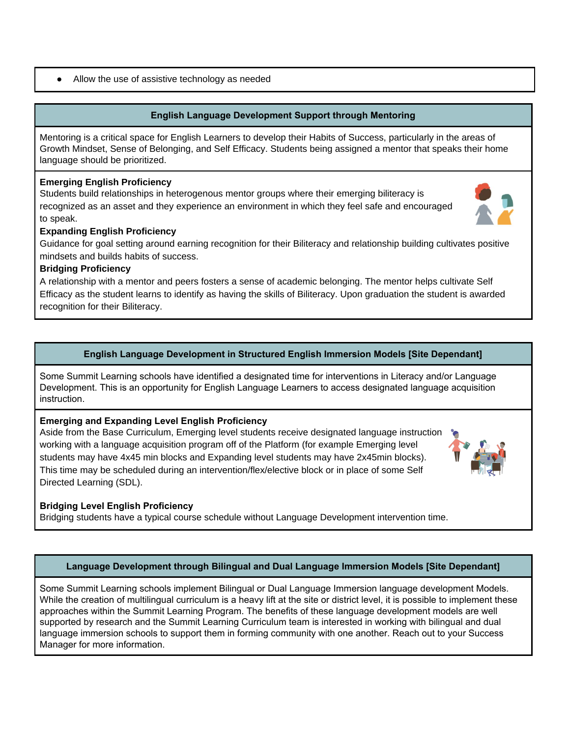#### ● Allow the use of assistive technology as needed

#### **English Language Development Support through Mentoring**

Mentoring is a critical space for English Learners to develop their Habits of Success, particularly in the areas of Growth Mindset, Sense of Belonging, and Self Efficacy. Students being assigned a mentor that speaks their home language should be prioritized.

#### **Emerging English Proficiency**

Students build relationships in heterogenous mentor groups where their emerging biliteracy is recognized as an asset and they experience an environment in which they feel safe and encouraged to speak.



#### **Expanding English Proficiency**

Guidance for goal setting around earning recognition for their Biliteracy and relationship building cultivates positive mindsets and builds habits of success.

#### **Bridging Proficiency**

A relationship with a mentor and peers fosters a sense of academic belonging. The mentor helps cultivate Self Efficacy as the student learns to identify as having the skills of Biliteracy. Upon graduation the student is awarded recognition for their Biliteracy.

#### **English Language Development in Structured English Immersion Models [Site Dependant]**

Some Summit Learning schools have identified a designated time for interventions in Literacy and/or Language Development. This is an opportunity for English Language Learners to access designated language acquisition instruction.

#### **Emerging and Expanding Level English Proficiency**

Aside from the Base Curriculum, Emerging level students receive designated language instruction working with a language acquisition program off of the Platform (for example Emerging level students may have 4x45 min blocks and Expanding level students may have 2x45min blocks). This time may be scheduled during an intervention/flex/elective block or in place of some Self Directed Learning (SDL).

#### **Bridging Level English Proficiency**

Bridging students have a typical course schedule without Language Development intervention time.

#### **Language Development through Bilingual and Dual Language Immersion Models [Site Dependant]**

Some Summit Learning schools implement Bilingual or Dual Language Immersion language development Models. While the creation of multilingual curriculum is a heavy lift at the site or district level, it is possible to implement these approaches within the Summit Learning Program. The benefits of these language development models are well supported by research and the Summit Learning Curriculum team is interested in working with bilingual and dual language immersion schools to support them in forming community with one another. Reach out to your Success Manager for more information.